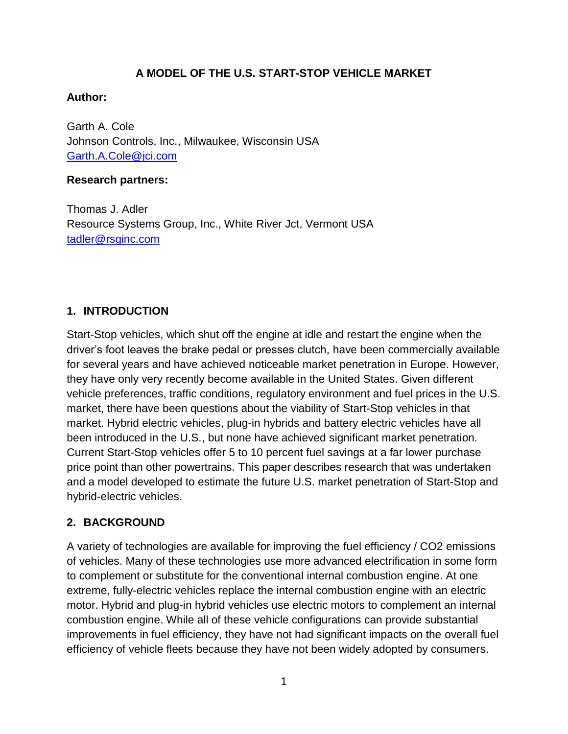## **A MODEL OF THE U.S. START-STOP VEHICLE MARKET**

## **Author:**

Garth A. Cole Johnson Controls, Inc., Milwaukee, Wisconsin USA [Garth.A.Cole@jci.com](mailto:Garth.A.Cole@jci.com)

### **Research partners:**

Thomas J. Adler Resource Systems Group, Inc., White River Jct, Vermont USA [tadler@rsginc.com](mailto:tadler@rsginc.com)

# **1. INTRODUCTION**

Start-Stop vehicles, which shut off the engine at idle and restart the engine when the driver's foot leaves the brake pedal or presses clutch, have been commercially available for several years and have achieved noticeable market penetration in Europe. However, they have only very recently become available in the United States. Given different vehicle preferences, traffic conditions, regulatory environment and fuel prices in the U.S. market, there have been questions about the viability of Start-Stop vehicles in that market. Hybrid electric vehicles, plug-in hybrids and battery electric vehicles have all been introduced in the U.S., but none have achieved significant market penetration. Current Start-Stop vehicles offer 5 to 10 percent fuel savings at a far lower purchase price point than other powertrains. This paper describes research that was undertaken and a model developed to estimate the future U.S. market penetration of Start-Stop and hybrid-electric vehicles.

## **2. BACKGROUND**

A variety of technologies are available for improving the fuel efficiency / CO2 emissions of vehicles. Many of these technologies use more advanced electrification in some form to complement or substitute for the conventional internal combustion engine. At one extreme, fully-electric vehicles replace the internal combustion engine with an electric motor. Hybrid and plug-in hybrid vehicles use electric motors to complement an internal combustion engine. While all of these vehicle configurations can provide substantial improvements in fuel efficiency, they have not had significant impacts on the overall fuel efficiency of vehicle fleets because they have not been widely adopted by consumers.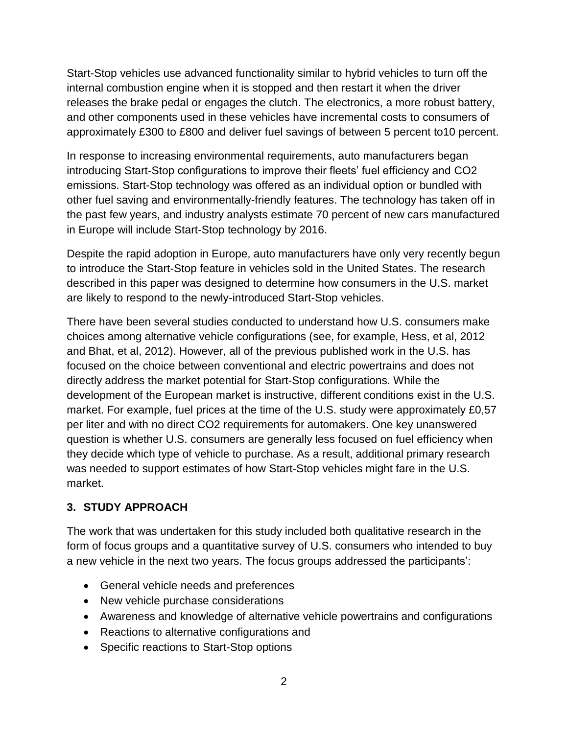Start-Stop vehicles use advanced functionality similar to hybrid vehicles to turn off the internal combustion engine when it is stopped and then restart it when the driver releases the brake pedal or engages the clutch. The electronics, a more robust battery, and other components used in these vehicles have incremental costs to consumers of approximately £300 to £800 and deliver fuel savings of between 5 percent to10 percent.

In response to increasing environmental requirements, auto manufacturers began introducing Start-Stop configurations to improve their fleets' fuel efficiency and CO2 emissions. Start-Stop technology was offered as an individual option or bundled with other fuel saving and environmentally-friendly features. The technology has taken off in the past few years, and industry analysts estimate 70 percent of new cars manufactured in Europe will include Start-Stop technology by 2016.

Despite the rapid adoption in Europe, auto manufacturers have only very recently begun to introduce the Start-Stop feature in vehicles sold in the United States. The research described in this paper was designed to determine how consumers in the U.S. market are likely to respond to the newly-introduced Start-Stop vehicles.

There have been several studies conducted to understand how U.S. consumers make choices among alternative vehicle configurations (see, for example, Hess, et al, 2012 and Bhat, et al, 2012). However, all of the previous published work in the U.S. has focused on the choice between conventional and electric powertrains and does not directly address the market potential for Start-Stop configurations. While the development of the European market is instructive, different conditions exist in the U.S. market. For example, fuel prices at the time of the U.S. study were approximately £0,57 per liter and with no direct CO2 requirements for automakers. One key unanswered question is whether U.S. consumers are generally less focused on fuel efficiency when they decide which type of vehicle to purchase. As a result, additional primary research was needed to support estimates of how Start-Stop vehicles might fare in the U.S. market.

## **3. STUDY APPROACH**

The work that was undertaken for this study included both qualitative research in the form of focus groups and a quantitative survey of U.S. consumers who intended to buy a new vehicle in the next two years. The focus groups addressed the participants':

- General vehicle needs and preferences
- New vehicle purchase considerations
- Awareness and knowledge of alternative vehicle powertrains and configurations
- Reactions to alternative configurations and
- Specific reactions to Start-Stop options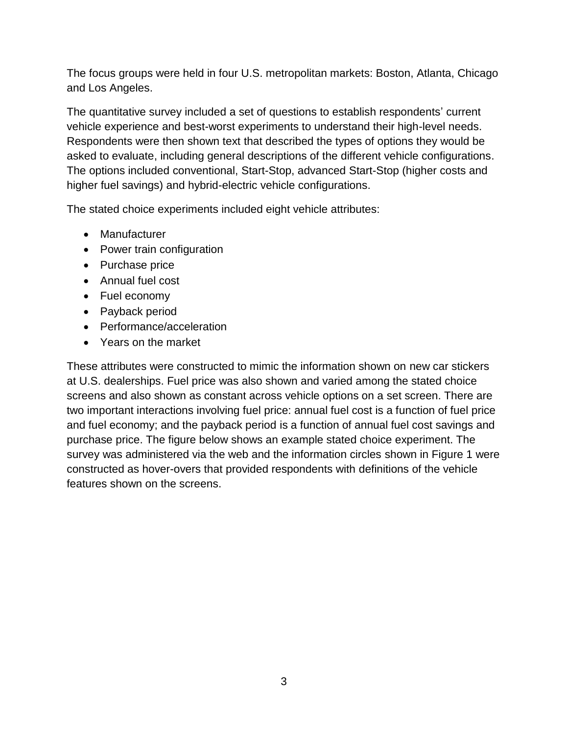The focus groups were held in four U.S. metropolitan markets: Boston, Atlanta, Chicago and Los Angeles.

The quantitative survey included a set of questions to establish respondents' current vehicle experience and best-worst experiments to understand their high-level needs. Respondents were then shown text that described the types of options they would be asked to evaluate, including general descriptions of the different vehicle configurations. The options included conventional, Start-Stop, advanced Start-Stop (higher costs and higher fuel savings) and hybrid-electric vehicle configurations.

The stated choice experiments included eight vehicle attributes:

- Manufacturer
- Power train configuration
- Purchase price
- Annual fuel cost
- Fuel economy
- Payback period
- Performance/acceleration
- Years on the market

These attributes were constructed to mimic the information shown on new car stickers at U.S. dealerships. Fuel price was also shown and varied among the stated choice screens and also shown as constant across vehicle options on a set screen. There are two important interactions involving fuel price: annual fuel cost is a function of fuel price and fuel economy; and the payback period is a function of annual fuel cost savings and purchase price. The figure below shows an example stated choice experiment. The survey was administered via the web and the information circles shown in Figure 1 were constructed as hover-overs that provided respondents with definitions of the vehicle features shown on the screens.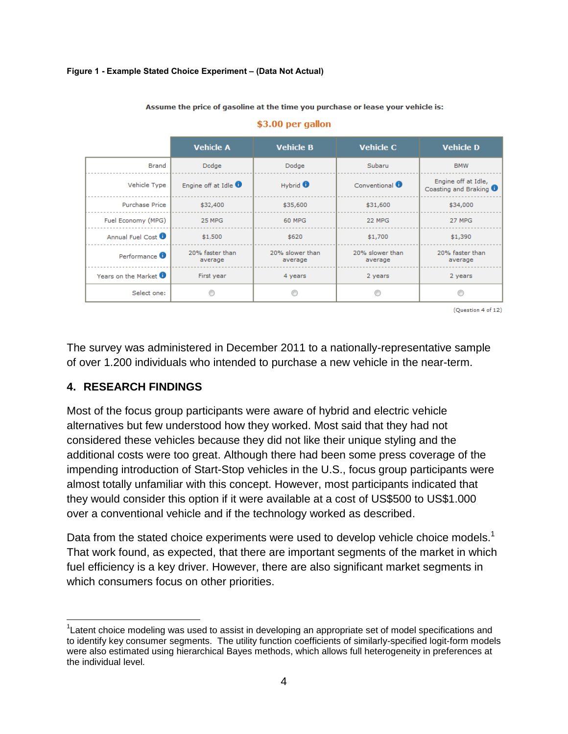### **Figure 1 - Example Stated Choice Experiment – (Data Not Actual)**

**Vehicle A Vehicle B Vehicle C Vehicle D Brand** Dodge Dodge Subaru **BMW** Engine off at Idle, Vehicle Type Engine off at Idle <sup>0</sup> Hybrid <sup>0</sup> Conventional <sup>0</sup> Coasting and Braking <sup>0</sup> Purchase Price \$32,400 \$31,600 \$34,000 \$35,600 25 MPG 60 MPG 22 MPG 27 MPG Fuel Economy (MPG) Annual Fuel Cost <sup>1</sup> \$1,500  $$620$  $$1,700$  $$1,390$ 20% faster than 20% slower than 20% slower than 20% faster than Performance <sup>0</sup> average average average average Years on the Market <sup>0</sup> First year 4 years 2 years 2 years Select one:  $\circledcirc$  $\circledcirc$ 0 0

#### Assume the price of gasoline at the time you purchase or lease your vehicle is:

\$3.00 per gallon

(Question 4 of 12)

The survey was administered in December 2011 to a nationally-representative sample of over 1.200 individuals who intended to purchase a new vehicle in the near-term.

### **4. RESEARCH FINDINGS**

 $\overline{a}$ 

Most of the focus group participants were aware of hybrid and electric vehicle alternatives but few understood how they worked. Most said that they had not considered these vehicles because they did not like their unique styling and the additional costs were too great. Although there had been some press coverage of the impending introduction of Start-Stop vehicles in the U.S., focus group participants were almost totally unfamiliar with this concept. However, most participants indicated that they would consider this option if it were available at a cost of US\$500 to US\$1.000 over a conventional vehicle and if the technology worked as described.

Data from the stated choice experiments were used to develop vehicle choice models.<sup>1</sup> That work found, as expected, that there are important segments of the market in which fuel efficiency is a key driver. However, there are also significant market segments in which consumers focus on other priorities.

<sup>&</sup>lt;sup>1</sup>Latent choice modeling was used to assist in developing an appropriate set of model specifications and to identify key consumer segments. The utility function coefficients of similarly-specified logit-form models were also estimated using hierarchical Bayes methods, which allows full heterogeneity in preferences at the individual level.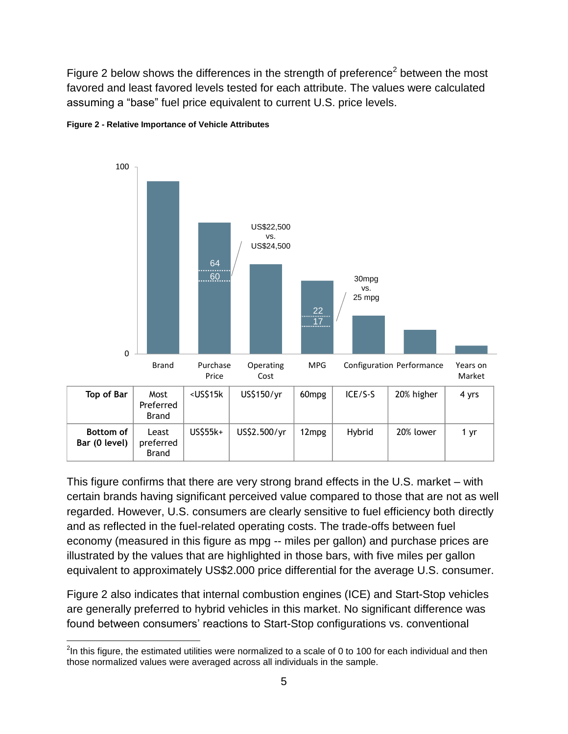Figure 2 below shows the differences in the strength of preference<sup>2</sup> between the most favored and least favored levels tested for each attribute. The values were calculated assuming a "base" fuel price equivalent to current U.S. price levels.





This figure confirms that there are very strong brand effects in the U.S. market – with certain brands having significant perceived value compared to those that are not as well regarded. However, U.S. consumers are clearly sensitive to fuel efficiency both directly and as reflected in the fuel-related operating costs. The trade-offs between fuel economy (measured in this figure as mpg -- miles per gallon) and purchase prices are illustrated by the values that are highlighted in those bars, with five miles per gallon equivalent to approximately US\$2.000 price differential for the average U.S. consumer.

Figure 2 also indicates that internal combustion engines (ICE) and Start-Stop vehicles are generally preferred to hybrid vehicles in this market. No significant difference was found between consumers' reactions to Start-Stop configurations vs. conventional

 $\overline{a}$  $^{2}$ In this figure, the estimated utilities were normalized to a scale of 0 to 100 for each individual and then those normalized values were averaged across all individuals in the sample.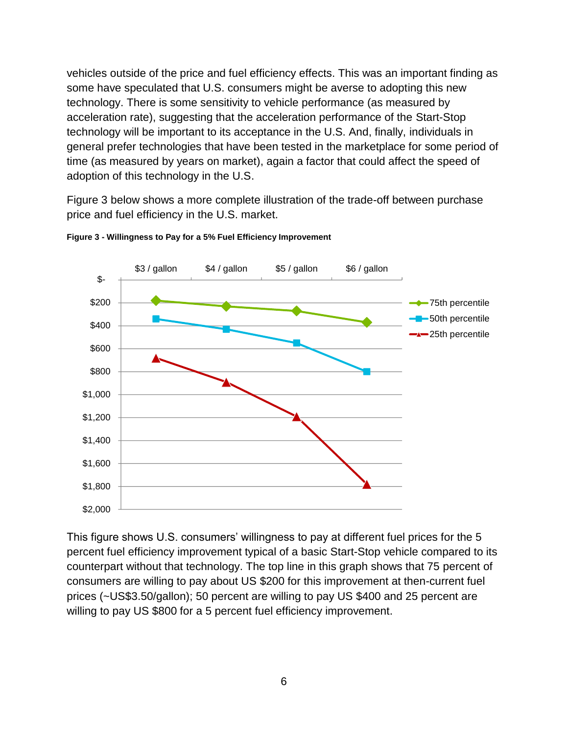vehicles outside of the price and fuel efficiency effects. This was an important finding as some have speculated that U.S. consumers might be averse to adopting this new technology. There is some sensitivity to vehicle performance (as measured by acceleration rate), suggesting that the acceleration performance of the Start-Stop technology will be important to its acceptance in the U.S. And, finally, individuals in general prefer technologies that have been tested in the marketplace for some period of time (as measured by years on market), again a factor that could affect the speed of adoption of this technology in the U.S.

Figure 3 below shows a more complete illustration of the trade-off between purchase price and fuel efficiency in the U.S. market.



**Figure 3 - Willingness to Pay for a 5% Fuel Efficiency Improvement**

This figure shows U.S. consumers' willingness to pay at different fuel prices for the 5 percent fuel efficiency improvement typical of a basic Start-Stop vehicle compared to its counterpart without that technology. The top line in this graph shows that 75 percent of consumers are willing to pay about US \$200 for this improvement at then-current fuel prices (~US\$3.50/gallon); 50 percent are willing to pay US \$400 and 25 percent are willing to pay US \$800 for a 5 percent fuel efficiency improvement.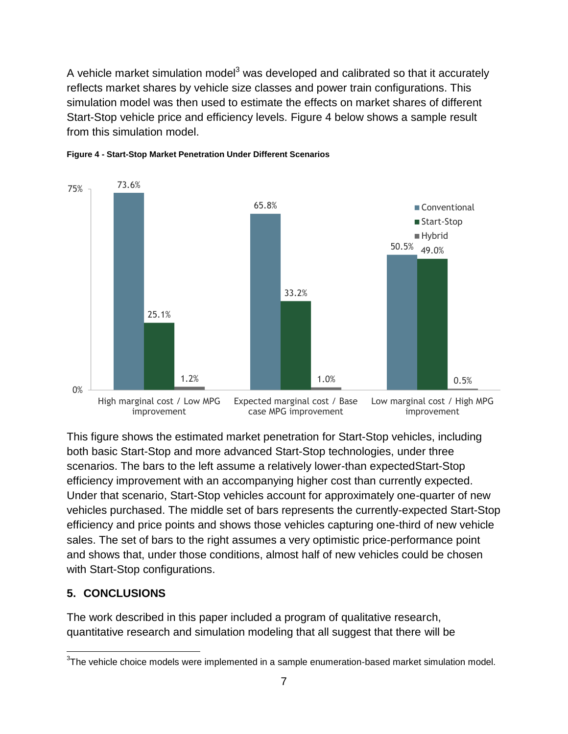A vehicle market simulation model<sup>3</sup> was developed and calibrated so that it accurately reflects market shares by vehicle size classes and power train configurations. This simulation model was then used to estimate the effects on market shares of different Start-Stop vehicle price and efficiency levels. Figure 4 below shows a sample result from this simulation model.





This figure shows the estimated market penetration for Start-Stop vehicles, including both basic Start-Stop and more advanced Start-Stop technologies, under three scenarios. The bars to the left assume a relatively lower-than expectedStart-Stop efficiency improvement with an accompanying higher cost than currently expected. Under that scenario, Start-Stop vehicles account for approximately one-quarter of new vehicles purchased. The middle set of bars represents the currently-expected Start-Stop efficiency and price points and shows those vehicles capturing one-third of new vehicle sales. The set of bars to the right assumes a very optimistic price-performance point and shows that, under those conditions, almost half of new vehicles could be chosen with Start-Stop configurations.

## **5. CONCLUSIONS**

The work described in this paper included a program of qualitative research, quantitative research and simulation modeling that all suggest that there will be

 $\overline{a}$  $3$ The vehicle choice models were implemented in a sample enumeration-based market simulation model.